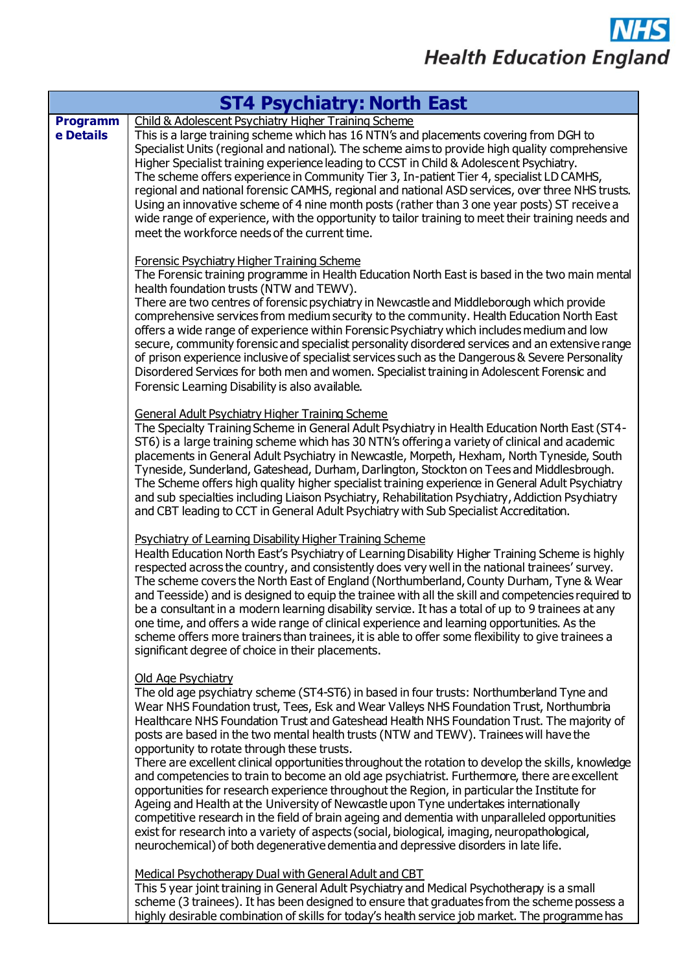## **NHS Health Education England**

| <b>ST4 Psychiatry: North East</b> |                                                                                                                                                                                                                                                                                                                                                                                                                                                                                                                                                                                                                                                                                                                                                                                                                                                                                                                                                                                                                                                                                                                                             |  |
|-----------------------------------|---------------------------------------------------------------------------------------------------------------------------------------------------------------------------------------------------------------------------------------------------------------------------------------------------------------------------------------------------------------------------------------------------------------------------------------------------------------------------------------------------------------------------------------------------------------------------------------------------------------------------------------------------------------------------------------------------------------------------------------------------------------------------------------------------------------------------------------------------------------------------------------------------------------------------------------------------------------------------------------------------------------------------------------------------------------------------------------------------------------------------------------------|--|
| <b>Programm</b><br>e Details      | Child & Adolescent Psychiatry Higher Training Scheme<br>This is a large training scheme which has 16 NTN's and placements covering from DGH to<br>Specialist Units (regional and national). The scheme aims to provide high quality comprehensive<br>Higher Specialist training experience leading to CCST in Child & Adolescent Psychiatry.<br>The scheme offers experience in Community Tier 3, In-patient Tier 4, specialist LD CAMHS,<br>regional and national forensic CAMHS, regional and national ASD services, over three NHS trusts.<br>Using an innovative scheme of 4 nine month posts (rather than 3 one year posts) ST receive a<br>wide range of experience, with the opportunity to tailor training to meet their training needs and<br>meet the workforce needs of the current time.                                                                                                                                                                                                                                                                                                                                        |  |
|                                   | <b>Forensic Psychiatry Higher Training Scheme</b><br>The Forensic training programme in Health Education North East is based in the two main mental<br>health foundation trusts (NTW and TEWV).<br>There are two centres of forensic psychiatry in Newcastle and Middleborough which provide<br>comprehensive services from medium security to the community. Health Education North East<br>offers a wide range of experience within Forensic Psychiatry which includes medium and low<br>secure, community forensic and specialist personality disordered services and an extensive range<br>of prison experience inclusive of specialist services such as the Dangerous & Severe Personality<br>Disordered Services for both men and women. Specialist training in Adolescent Forensic and<br>Forensic Learning Disability is also available.                                                                                                                                                                                                                                                                                            |  |
|                                   | General Adult Psychiatry Higher Training Scheme<br>The Specialty Training Scheme in General Adult Psychiatry in Health Education North East (ST4-<br>ST6) is a large training scheme which has 30 NTN's offering a variety of clinical and academic<br>placements in General Adult Psychiatry in Newcastle, Morpeth, Hexham, North Tyneside, South<br>Tyneside, Sunderland, Gateshead, Durham, Darlington, Stockton on Tees and Middlesbrough.<br>The Scheme offers high quality higher specialist training experience in General Adult Psychiatry<br>and sub specialties including Liaison Psychiatry, Rehabilitation Psychiatry, Addiction Psychiatry<br>and CBT leading to CCT in General Adult Psychiatry with Sub Specialist Accreditation.                                                                                                                                                                                                                                                                                                                                                                                            |  |
|                                   | <b>Psychiatry of Learning Disability Higher Training Scheme</b><br>Health Education North East's Psychiatry of Learning Disability Higher Training Scheme is highly<br>respected across the country, and consistently does very well in the national trainees' survey.<br>The scheme covers the North East of England (Northumberland, County Durham, Tyne & Wear<br>and Teesside) and is designed to equip the trainee with all the skill and competencies required to<br>be a consultant in a modern learning disability service. It has a total of up to 9 trainees at any<br>one time, and offers a wide range of clinical experience and learning opportunities. As the<br>scheme offers more trainers than trainees, it is able to offer some flexibility to give trainees a<br>significant degree of choice in their placements.                                                                                                                                                                                                                                                                                                     |  |
|                                   | Old Age Psychiatry<br>The old age psychiatry scheme (ST4-ST6) in based in four trusts: Northumberland Tyne and<br>Wear NHS Foundation trust, Tees, Esk and Wear Valleys NHS Foundation Trust, Northumbria<br>Healthcare NHS Foundation Trust and Gateshead Health NHS Foundation Trust. The majority of<br>posts are based in the two mental health trusts (NTW and TEWV). Trainees will have the<br>opportunity to rotate through these trusts.<br>There are excellent clinical opportunities throughout the rotation to develop the skills, knowledge<br>and competencies to train to become an old age psychiatrist. Furthermore, there are excellent<br>opportunities for research experience throughout the Region, in particular the Institute for<br>Ageing and Health at the University of Newcastle upon Tyne undertakes internationally<br>competitive research in the field of brain ageing and dementia with unparalleled opportunities<br>exist for research into a variety of aspects (social, biological, imaging, neuropathological,<br>neurochemical) of both degenerative dementia and depressive disorders in late life. |  |
|                                   | Medical Psychotherapy Dual with General Adult and CBT<br>This 5 year joint training in General Adult Psychiatry and Medical Psychotherapy is a small<br>scheme (3 trainees). It has been designed to ensure that graduates from the scheme possess a<br>highly desirable combination of skills for today's health service job market. The programme has                                                                                                                                                                                                                                                                                                                                                                                                                                                                                                                                                                                                                                                                                                                                                                                     |  |